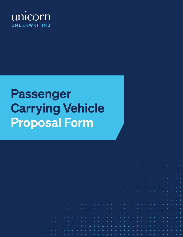

# Passenger Carrying Vehicle Proposal Form

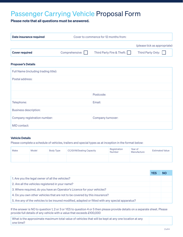# Passenger Carrying Vehicle Proposal Form

Please note that all questions must be answered.

| Date insurance required   | Cover to commence for 12 months from: |                           |                              |
|---------------------------|---------------------------------------|---------------------------|------------------------------|
|                           |                                       |                           | (please tick as appropriate) |
| <b>Cover required</b>     | Comprehensive:                        | Third Party Fire & Theft: | Third Party Only:            |
| <b>Proposer's Details</b> |                                       |                           |                              |

| Full Name (including trading title): |                   |  |
|--------------------------------------|-------------------|--|
| Postal address:                      |                   |  |
|                                      |                   |  |
|                                      | Postcode:         |  |
| Telephone:                           | Email:            |  |
| <b>Business description:</b>         |                   |  |
| Company registration number:         | Company turnover: |  |
| MID contact:                         |                   |  |

# Vehicle Details

Please complete a schedule of vehicles, trailers and special types as at inception in the format below:

| Make | <b>Model</b> | Body Type | CC/GVW/Seating Capacity | Registration<br><b>Number</b> | Year of<br>Manufacture | <b>Estimated Value</b> |
|------|--------------|-----------|-------------------------|-------------------------------|------------------------|------------------------|
|      |              |           |                         |                               |                        |                        |

|                                                                                                  | <b>YES</b> | INO |
|--------------------------------------------------------------------------------------------------|------------|-----|
| 1. Are you the legal owner of all the vehicles?                                                  |            |     |
| 2. Are all the vehicles registered in your name?                                                 |            |     |
| 3. Where required, do you have an Operator's Licence for your vehicles?                          |            |     |
| 4. Do you own other vehicles that are not to be covered by this insurance?                       |            |     |
| 5. Are any of the vehicles to be insured modified, adapted or fitted with any special apparatus? |            |     |

If the answer is NO to question 1, 2 or 3 or YES to question 4 or 5 then please provide details on a separate sheet. Please provide full details of any vehicle with a value that exceeds £100,000

What is the approximate maximum total value of vehicles that will be kept at any one location at any one time?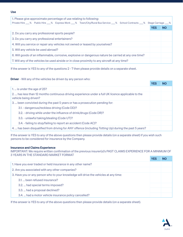## Use

| 1. Please give approximate percentage of use relating to following:<br>Private Hire % Public Hire 6 % Express Work 6 % 7 Town/City/Rural Bus Service 6 % 8 School Contracts 6 % Stage Carriage |            |           |  |
|------------------------------------------------------------------------------------------------------------------------------------------------------------------------------------------------|------------|-----------|--|
|                                                                                                                                                                                                | <b>YES</b> | <b>NO</b> |  |
| 2. Do you carry any professional sports people?                                                                                                                                                |            |           |  |
| 3. Do you carry any professional entertainers?                                                                                                                                                 |            |           |  |
| 4. Will you service or repair any vehicles not owned or leased by yourselves?                                                                                                                  |            |           |  |
| 5. Will any vehicle be used abroad?                                                                                                                                                            |            |           |  |
| 6. Will goods of an inflammable, corrosive, explosive or dangerous nature be carried at any one time?                                                                                          |            |           |  |
| 7. Will any of the vehicles be used airside or in close proximity to any aircraft at any time?                                                                                                 |            |           |  |

If the answer is YES to any of the questions 2 - 7 then please provide details on a separate sheet.

**Driver** - Will any of the vehicles be driven by any person who:

|                                                                                                                              | <b>YES</b> | <b>NO</b> |
|------------------------------------------------------------------------------------------------------------------------------|------------|-----------|
| 1.  is under the age of 25?                                                                                                  |            |           |
| 2.  has less than 12 months continuous driving experience under a full UK licence applicable to the<br>vehicle being driven? |            |           |
| 3.  been convicted during the past 5 years or has a prosecution pending for:                                                 |            |           |
| 3.1. - dangerous/reckless driving (Code DD)?                                                                                 |            |           |
| 3.2. - driving while under the influence of drink/drugs (Code DR)?                                                           |            |           |
| 3.3. - unlawful taking/stealing (Code UT)?                                                                                   |            |           |
| 3.4. - failing to stop/failing to report an accident (Code AC)?                                                              |            |           |
| 4.  has been disqualified from driving for ANY offence (including Totting Up) during the past 5 years?                       |            |           |

If the answer is YES to any of the above questions then please provide details (on a separate sheet) if you wish such persons to be considered for insurance by the Company.

# Insurance and Claims Experience

IMPORTANT: We require written confirmation of the previous insurer(s)'s PAST CLAIMS EXPERIENCE FOR A MINIMUM OF 3 YEARS IN THE STANDARD MARKET FORMAT

|                                                                                      | <b>YES</b> | <b>NO</b> |
|--------------------------------------------------------------------------------------|------------|-----------|
| 1. Have you ever traded or held insurance in any other name?                         |            |           |
| 2. Are you associated with any other companies?                                      |            |           |
| 3. Have you or any person who to your knowledge will drive the vehicles at any time: |            |           |
| 3.1.  been refused insurance?                                                        |            |           |
| 3.2.  had special terms imposed?                                                     |            |           |
| 3.3.  had a proposal declined?                                                       |            |           |
| 3.4.  had a motor vehicle insurance policy cancelled?                                |            |           |

If the answer is YES to any of the above questions then please provide details (on a separate sheet).